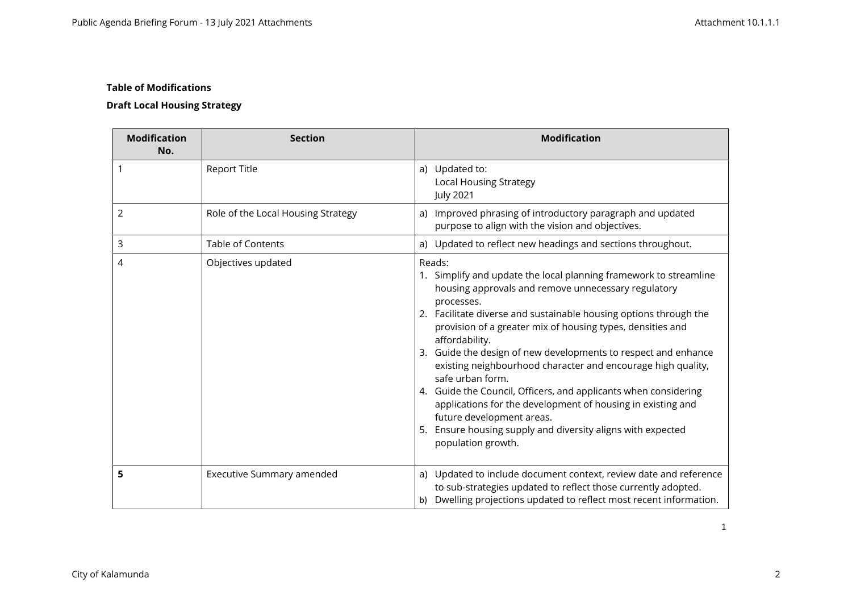# **Draft Local Housing Strategy**

| <b>Modification</b><br>No. | <b>Section</b>                     | <b>Modification</b>                                                                                                                                                                                                                                                                                                                                                                                                                                                                                                                                                                                                                                                                                                |
|----------------------------|------------------------------------|--------------------------------------------------------------------------------------------------------------------------------------------------------------------------------------------------------------------------------------------------------------------------------------------------------------------------------------------------------------------------------------------------------------------------------------------------------------------------------------------------------------------------------------------------------------------------------------------------------------------------------------------------------------------------------------------------------------------|
|                            | <b>Report Title</b>                | a) Updated to:<br><b>Local Housing Strategy</b><br><b>July 2021</b>                                                                                                                                                                                                                                                                                                                                                                                                                                                                                                                                                                                                                                                |
| 2                          | Role of the Local Housing Strategy | a) Improved phrasing of introductory paragraph and updated<br>purpose to align with the vision and objectives.                                                                                                                                                                                                                                                                                                                                                                                                                                                                                                                                                                                                     |
| 3                          | <b>Table of Contents</b>           | a) Updated to reflect new headings and sections throughout.                                                                                                                                                                                                                                                                                                                                                                                                                                                                                                                                                                                                                                                        |
| 4                          | Objectives updated                 | Reads:<br>1. Simplify and update the local planning framework to streamline<br>housing approvals and remove unnecessary regulatory<br>processes.<br>2. Facilitate diverse and sustainable housing options through the<br>provision of a greater mix of housing types, densities and<br>affordability.<br>3. Guide the design of new developments to respect and enhance<br>existing neighbourhood character and encourage high quality,<br>safe urban form.<br>4. Guide the Council, Officers, and applicants when considering<br>applications for the development of housing in existing and<br>future development areas.<br>Ensure housing supply and diversity aligns with expected<br>5.<br>population growth. |
| 5                          | Executive Summary amended          | a) Updated to include document context, review date and reference<br>to sub-strategies updated to reflect those currently adopted.<br>b) Dwelling projections updated to reflect most recent information.                                                                                                                                                                                                                                                                                                                                                                                                                                                                                                          |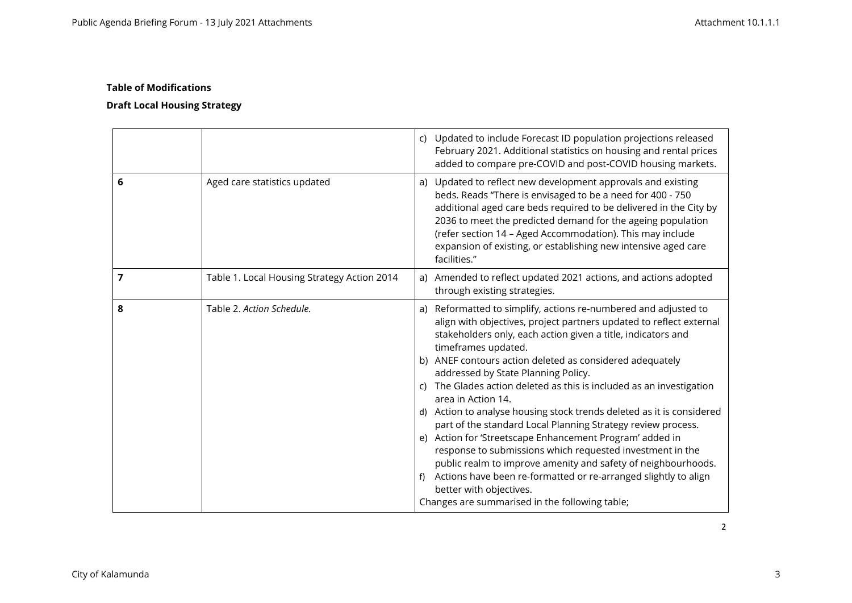|   |                                             | c) Updated to include Forecast ID population projections released<br>February 2021. Additional statistics on housing and rental prices<br>added to compare pre-COVID and post-COVID housing markets.                                                                                                                                                                                                                                                                                                                                                                                                                                                                                                                                                                                                                                                                                                                 |
|---|---------------------------------------------|----------------------------------------------------------------------------------------------------------------------------------------------------------------------------------------------------------------------------------------------------------------------------------------------------------------------------------------------------------------------------------------------------------------------------------------------------------------------------------------------------------------------------------------------------------------------------------------------------------------------------------------------------------------------------------------------------------------------------------------------------------------------------------------------------------------------------------------------------------------------------------------------------------------------|
| 6 | Aged care statistics updated                | a) Updated to reflect new development approvals and existing<br>beds. Reads "There is envisaged to be a need for 400 - 750<br>additional aged care beds required to be delivered in the City by<br>2036 to meet the predicted demand for the ageing population<br>(refer section 14 - Aged Accommodation). This may include<br>expansion of existing, or establishing new intensive aged care<br>facilities."                                                                                                                                                                                                                                                                                                                                                                                                                                                                                                        |
| 7 | Table 1. Local Housing Strategy Action 2014 | a) Amended to reflect updated 2021 actions, and actions adopted<br>through existing strategies.                                                                                                                                                                                                                                                                                                                                                                                                                                                                                                                                                                                                                                                                                                                                                                                                                      |
| 8 | Table 2. Action Schedule.                   | a) Reformatted to simplify, actions re-numbered and adjusted to<br>align with objectives, project partners updated to reflect external<br>stakeholders only, each action given a title, indicators and<br>timeframes updated.<br>b) ANEF contours action deleted as considered adequately<br>addressed by State Planning Policy.<br>c) The Glades action deleted as this is included as an investigation<br>area in Action 14.<br>d) Action to analyse housing stock trends deleted as it is considered<br>part of the standard Local Planning Strategy review process.<br>e) Action for 'Streetscape Enhancement Program' added in<br>response to submissions which requested investment in the<br>public realm to improve amenity and safety of neighbourhoods.<br>f) Actions have been re-formatted or re-arranged slightly to align<br>better with objectives.<br>Changes are summarised in the following table; |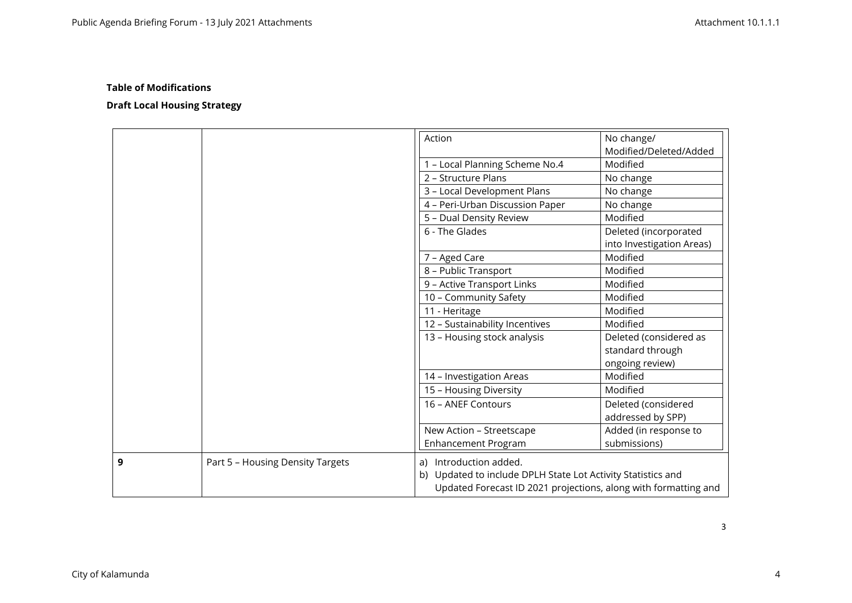|   |                                  | Action                                                          | No change/                |
|---|----------------------------------|-----------------------------------------------------------------|---------------------------|
|   |                                  |                                                                 | Modified/Deleted/Added    |
|   |                                  | 1 - Local Planning Scheme No.4                                  | Modified                  |
|   |                                  | 2 - Structure Plans                                             | No change                 |
|   |                                  | 3 - Local Development Plans                                     | No change                 |
|   |                                  | 4 - Peri-Urban Discussion Paper                                 | No change                 |
|   |                                  | 5 - Dual Density Review                                         | Modified                  |
|   |                                  | 6 - The Glades                                                  | Deleted (incorporated     |
|   |                                  |                                                                 | into Investigation Areas) |
|   |                                  | 7 - Aged Care                                                   | Modified                  |
|   |                                  | 8 - Public Transport                                            | Modified                  |
|   |                                  | 9 - Active Transport Links                                      | Modified                  |
|   |                                  | 10 - Community Safety                                           | Modified                  |
|   |                                  | 11 - Heritage                                                   | Modified                  |
|   |                                  | 12 - Sustainability Incentives                                  | Modified                  |
|   |                                  | 13 - Housing stock analysis                                     | Deleted (considered as    |
|   |                                  |                                                                 | standard through          |
|   |                                  |                                                                 | ongoing review)           |
|   |                                  | 14 - Investigation Areas                                        | Modified                  |
|   |                                  | 15 - Housing Diversity                                          | Modified                  |
|   |                                  | 16 - ANEF Contours                                              | Deleted (considered       |
|   |                                  |                                                                 | addressed by SPP)         |
|   |                                  | New Action - Streetscape                                        | Added (in response to     |
|   |                                  | <b>Enhancement Program</b>                                      | submissions)              |
| 9 | Part 5 - Housing Density Targets | a) Introduction added.                                          |                           |
|   |                                  | b) Updated to include DPLH State Lot Activity Statistics and    |                           |
|   |                                  | Updated Forecast ID 2021 projections, along with formatting and |                           |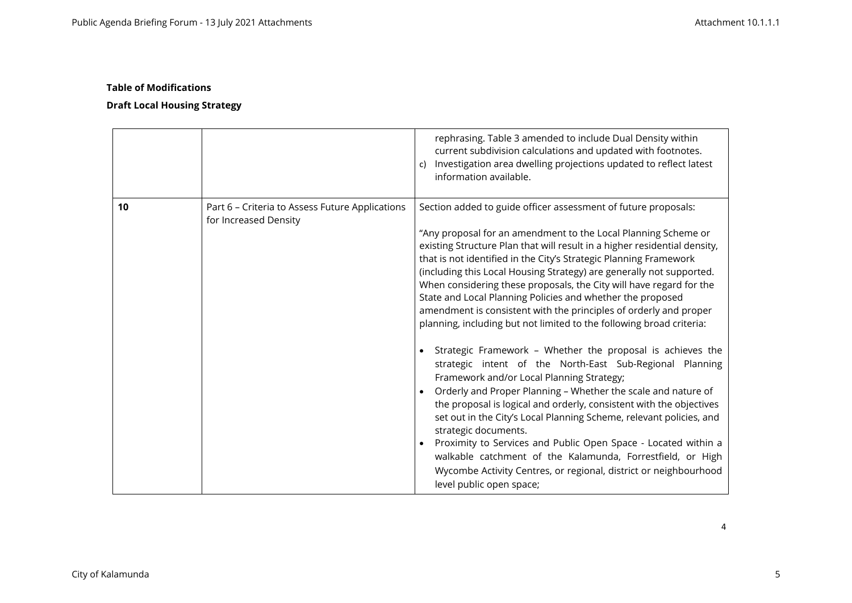# **Draft Local Housing Strategy**

|    |                                                                          | rephrasing. Table 3 amended to include Dual Density within<br>current subdivision calculations and updated with footnotes.<br>Investigation area dwelling projections updated to reflect latest<br>c)<br>information available.                                                                                                                                                                                                                                                                                                                                                                                                                                                                                                                                                                                                                                                                                                                                                                                                                                                                                                                                                                                                                                                            |
|----|--------------------------------------------------------------------------|--------------------------------------------------------------------------------------------------------------------------------------------------------------------------------------------------------------------------------------------------------------------------------------------------------------------------------------------------------------------------------------------------------------------------------------------------------------------------------------------------------------------------------------------------------------------------------------------------------------------------------------------------------------------------------------------------------------------------------------------------------------------------------------------------------------------------------------------------------------------------------------------------------------------------------------------------------------------------------------------------------------------------------------------------------------------------------------------------------------------------------------------------------------------------------------------------------------------------------------------------------------------------------------------|
| 10 | Part 6 - Criteria to Assess Future Applications<br>for Increased Density | Section added to guide officer assessment of future proposals:<br>"Any proposal for an amendment to the Local Planning Scheme or<br>existing Structure Plan that will result in a higher residential density,<br>that is not identified in the City's Strategic Planning Framework<br>(including this Local Housing Strategy) are generally not supported.<br>When considering these proposals, the City will have regard for the<br>State and Local Planning Policies and whether the proposed<br>amendment is consistent with the principles of orderly and proper<br>planning, including but not limited to the following broad criteria:<br>Strategic Framework - Whether the proposal is achieves the<br>strategic intent of the North-East Sub-Regional Planning<br>Framework and/or Local Planning Strategy;<br>Orderly and Proper Planning - Whether the scale and nature of<br>the proposal is logical and orderly, consistent with the objectives<br>set out in the City's Local Planning Scheme, relevant policies, and<br>strategic documents.<br>Proximity to Services and Public Open Space - Located within a<br>walkable catchment of the Kalamunda, Forrestfield, or High<br>Wycombe Activity Centres, or regional, district or neighbourhood<br>level public open space; |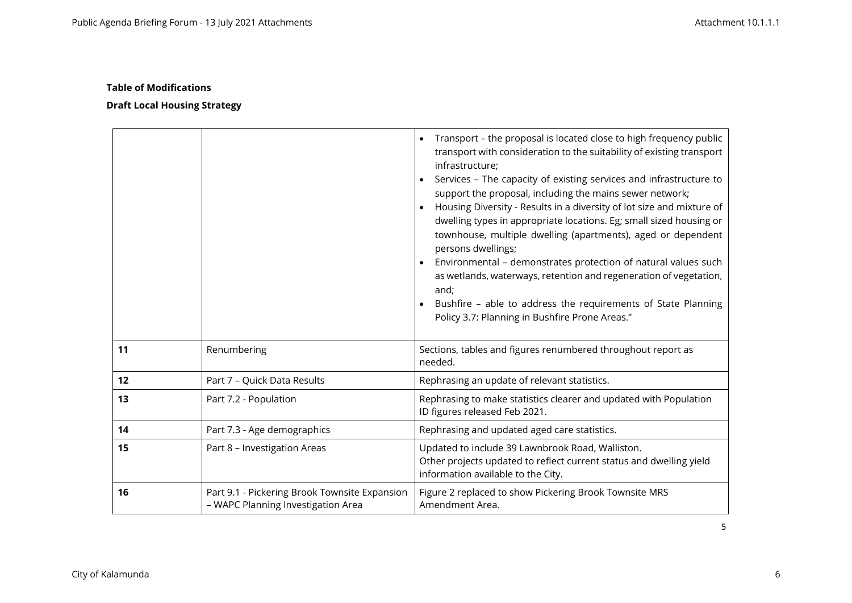|    |                                                                                     | Transport - the proposal is located close to high frequency public<br>$\bullet$<br>transport with consideration to the suitability of existing transport<br>infrastructure;<br>Services - The capacity of existing services and infrastructure to<br>$\bullet$<br>support the proposal, including the mains sewer network;<br>Housing Diversity - Results in a diversity of lot size and mixture of<br>dwelling types in appropriate locations. Eg; small sized housing or<br>townhouse, multiple dwelling (apartments), aged or dependent<br>persons dwellings;<br>Environmental - demonstrates protection of natural values such<br>$\bullet$<br>as wetlands, waterways, retention and regeneration of vegetation,<br>and;<br>Bushfire - able to address the requirements of State Planning<br>Policy 3.7: Planning in Bushfire Prone Areas." |
|----|-------------------------------------------------------------------------------------|-------------------------------------------------------------------------------------------------------------------------------------------------------------------------------------------------------------------------------------------------------------------------------------------------------------------------------------------------------------------------------------------------------------------------------------------------------------------------------------------------------------------------------------------------------------------------------------------------------------------------------------------------------------------------------------------------------------------------------------------------------------------------------------------------------------------------------------------------|
| 11 | Renumbering                                                                         | Sections, tables and figures renumbered throughout report as<br>needed.                                                                                                                                                                                                                                                                                                                                                                                                                                                                                                                                                                                                                                                                                                                                                                         |
| 12 | Part 7 - Quick Data Results                                                         | Rephrasing an update of relevant statistics.                                                                                                                                                                                                                                                                                                                                                                                                                                                                                                                                                                                                                                                                                                                                                                                                    |
| 13 | Part 7.2 - Population                                                               | Rephrasing to make statistics clearer and updated with Population<br>ID figures released Feb 2021.                                                                                                                                                                                                                                                                                                                                                                                                                                                                                                                                                                                                                                                                                                                                              |
| 14 | Part 7.3 - Age demographics                                                         | Rephrasing and updated aged care statistics.                                                                                                                                                                                                                                                                                                                                                                                                                                                                                                                                                                                                                                                                                                                                                                                                    |
| 15 | Part 8 - Investigation Areas                                                        | Updated to include 39 Lawnbrook Road, Walliston.<br>Other projects updated to reflect current status and dwelling yield<br>information available to the City.                                                                                                                                                                                                                                                                                                                                                                                                                                                                                                                                                                                                                                                                                   |
| 16 | Part 9.1 - Pickering Brook Townsite Expansion<br>- WAPC Planning Investigation Area | Figure 2 replaced to show Pickering Brook Townsite MRS<br>Amendment Area.                                                                                                                                                                                                                                                                                                                                                                                                                                                                                                                                                                                                                                                                                                                                                                       |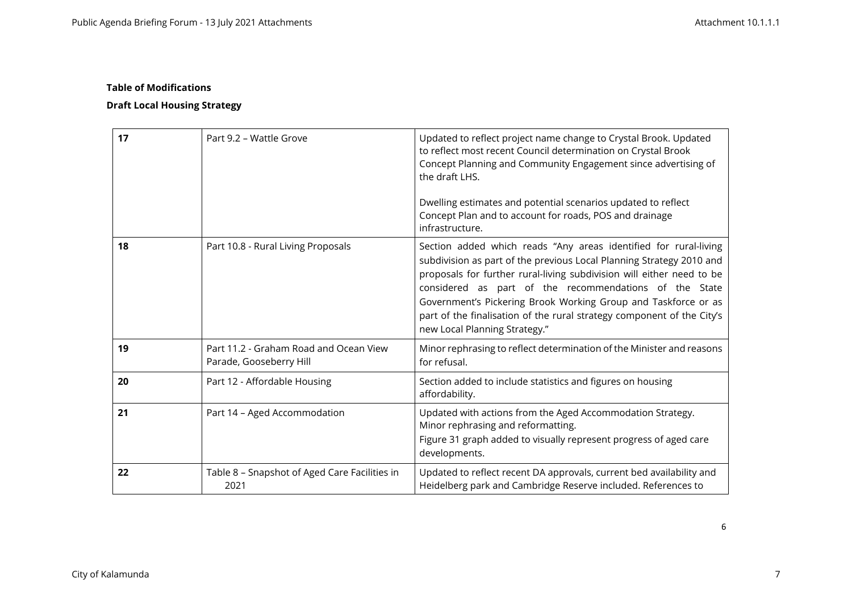| 17 | Part 9.2 - Wattle Grove                                           | Updated to reflect project name change to Crystal Brook. Updated<br>to reflect most recent Council determination on Crystal Brook<br>Concept Planning and Community Engagement since advertising of<br>the draft LHS.<br>Dwelling estimates and potential scenarios updated to reflect<br>Concept Plan and to account for roads, POS and drainage<br>infrastructure.                                                                                     |
|----|-------------------------------------------------------------------|----------------------------------------------------------------------------------------------------------------------------------------------------------------------------------------------------------------------------------------------------------------------------------------------------------------------------------------------------------------------------------------------------------------------------------------------------------|
| 18 | Part 10.8 - Rural Living Proposals                                | Section added which reads "Any areas identified for rural-living<br>subdivision as part of the previous Local Planning Strategy 2010 and<br>proposals for further rural-living subdivision will either need to be<br>considered as part of the recommendations of the State<br>Government's Pickering Brook Working Group and Taskforce or as<br>part of the finalisation of the rural strategy component of the City's<br>new Local Planning Strategy." |
| 19 | Part 11.2 - Graham Road and Ocean View<br>Parade, Gooseberry Hill | Minor rephrasing to reflect determination of the Minister and reasons<br>for refusal.                                                                                                                                                                                                                                                                                                                                                                    |
| 20 | Part 12 - Affordable Housing                                      | Section added to include statistics and figures on housing<br>affordability.                                                                                                                                                                                                                                                                                                                                                                             |
| 21 | Part 14 - Aged Accommodation                                      | Updated with actions from the Aged Accommodation Strategy.<br>Minor rephrasing and reformatting.<br>Figure 31 graph added to visually represent progress of aged care<br>developments.                                                                                                                                                                                                                                                                   |
| 22 | Table 8 - Snapshot of Aged Care Facilities in<br>2021             | Updated to reflect recent DA approvals, current bed availability and<br>Heidelberg park and Cambridge Reserve included. References to                                                                                                                                                                                                                                                                                                                    |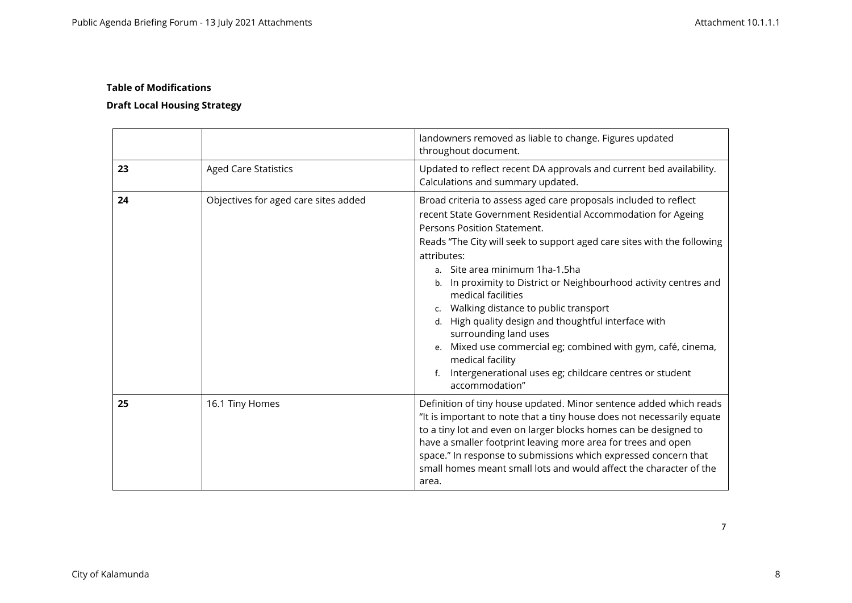# **Draft Local Housing Strategy**

|    |                                      | landowners removed as liable to change. Figures updated<br>throughout document.                                                                                                                                                                                                                                                                                                                                                                                                                                                                                                                                                                                                     |
|----|--------------------------------------|-------------------------------------------------------------------------------------------------------------------------------------------------------------------------------------------------------------------------------------------------------------------------------------------------------------------------------------------------------------------------------------------------------------------------------------------------------------------------------------------------------------------------------------------------------------------------------------------------------------------------------------------------------------------------------------|
| 23 | <b>Aged Care Statistics</b>          | Updated to reflect recent DA approvals and current bed availability.<br>Calculations and summary updated.                                                                                                                                                                                                                                                                                                                                                                                                                                                                                                                                                                           |
| 24 | Objectives for aged care sites added | Broad criteria to assess aged care proposals included to reflect<br>recent State Government Residential Accommodation for Ageing<br>Persons Position Statement.<br>Reads "The City will seek to support aged care sites with the following<br>attributes:<br>a. Site area minimum 1ha-1.5ha<br>b. In proximity to District or Neighbourhood activity centres and<br>medical facilities<br>c. Walking distance to public transport<br>d. High quality design and thoughtful interface with<br>surrounding land uses<br>e. Mixed use commercial eg; combined with gym, café, cinema,<br>medical facility<br>Intergenerational uses eg; childcare centres or student<br>accommodation" |
| 25 | 16.1 Tiny Homes                      | Definition of tiny house updated. Minor sentence added which reads<br>"It is important to note that a tiny house does not necessarily equate<br>to a tiny lot and even on larger blocks homes can be designed to<br>have a smaller footprint leaving more area for trees and open<br>space." In response to submissions which expressed concern that<br>small homes meant small lots and would affect the character of the<br>area.                                                                                                                                                                                                                                                 |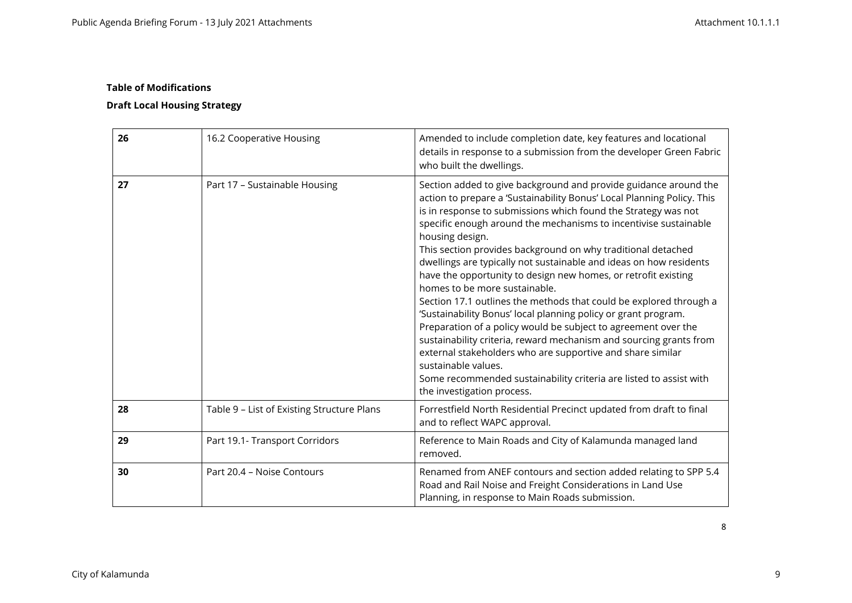# **Draft Local Housing Strategy**

| 26 | 16.2 Cooperative Housing                   | Amended to include completion date, key features and locational<br>details in response to a submission from the developer Green Fabric<br>who built the dwellings.                                                                                                                                                                                                                                                                                                                                                                                                                                                                                                                                                                                                                                                                                                                                                                                                                                                    |
|----|--------------------------------------------|-----------------------------------------------------------------------------------------------------------------------------------------------------------------------------------------------------------------------------------------------------------------------------------------------------------------------------------------------------------------------------------------------------------------------------------------------------------------------------------------------------------------------------------------------------------------------------------------------------------------------------------------------------------------------------------------------------------------------------------------------------------------------------------------------------------------------------------------------------------------------------------------------------------------------------------------------------------------------------------------------------------------------|
| 27 | Part 17 - Sustainable Housing              | Section added to give background and provide guidance around the<br>action to prepare a 'Sustainability Bonus' Local Planning Policy. This<br>is in response to submissions which found the Strategy was not<br>specific enough around the mechanisms to incentivise sustainable<br>housing design.<br>This section provides background on why traditional detached<br>dwellings are typically not sustainable and ideas on how residents<br>have the opportunity to design new homes, or retrofit existing<br>homes to be more sustainable.<br>Section 17.1 outlines the methods that could be explored through a<br>'Sustainability Bonus' local planning policy or grant program.<br>Preparation of a policy would be subject to agreement over the<br>sustainability criteria, reward mechanism and sourcing grants from<br>external stakeholders who are supportive and share similar<br>sustainable values.<br>Some recommended sustainability criteria are listed to assist with<br>the investigation process. |
| 28 | Table 9 - List of Existing Structure Plans | Forrestfield North Residential Precinct updated from draft to final<br>and to reflect WAPC approval.                                                                                                                                                                                                                                                                                                                                                                                                                                                                                                                                                                                                                                                                                                                                                                                                                                                                                                                  |
| 29 | Part 19.1- Transport Corridors             | Reference to Main Roads and City of Kalamunda managed land<br>removed.                                                                                                                                                                                                                                                                                                                                                                                                                                                                                                                                                                                                                                                                                                                                                                                                                                                                                                                                                |
| 30 | Part 20.4 - Noise Contours                 | Renamed from ANEF contours and section added relating to SPP 5.4<br>Road and Rail Noise and Freight Considerations in Land Use<br>Planning, in response to Main Roads submission.                                                                                                                                                                                                                                                                                                                                                                                                                                                                                                                                                                                                                                                                                                                                                                                                                                     |